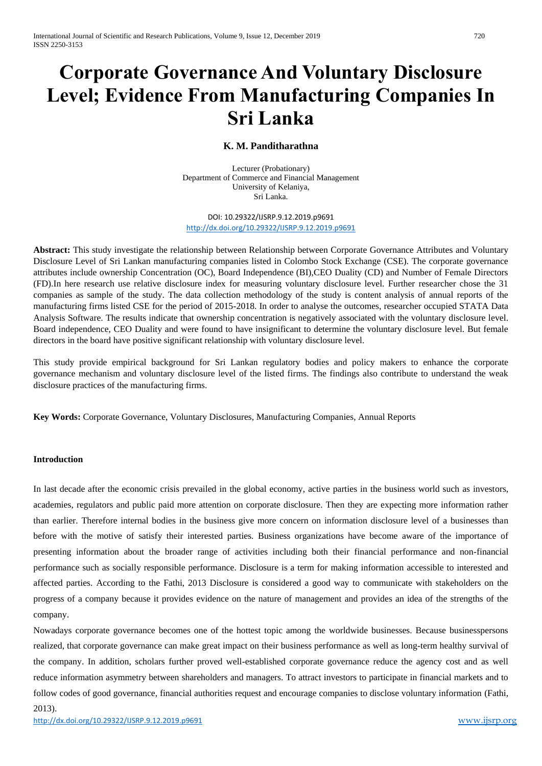# **Corporate Governance And Voluntary Disclosure Level; Evidence From Manufacturing Companies In Sri Lanka**

# **K. M. Panditharathna**

Lecturer (Probationary) Department of Commerce and Financial Management University of Kelaniya, Sri Lanka.

DOI: 10.29322/IJSRP.9.12.2019.p9691 <http://dx.doi.org/10.29322/IJSRP.9.12.2019.p9691>

**Abstract:** This study investigate the relationship between Relationship between Corporate Governance Attributes and Voluntary Disclosure Level of Sri Lankan manufacturing companies listed in Colombo Stock Exchange (CSE). The corporate governance attributes include ownership Concentration (OC), Board Independence (BI),CEO Duality (CD) and Number of Female Directors (FD).In here research use relative disclosure index for measuring voluntary disclosure level. Further researcher chose the 31 companies as sample of the study. The data collection methodology of the study is content analysis of annual reports of the manufacturing firms listed CSE for the period of 2015-2018. In order to analyse the outcomes, researcher occupied STATA Data Analysis Software. The results indicate that ownership concentration is negatively associated with the voluntary disclosure level. Board independence, CEO Duality and were found to have insignificant to determine the voluntary disclosure level. But female directors in the board have positive significant relationship with voluntary disclosure level.

This study provide empirical background for Sri Lankan regulatory bodies and policy makers to enhance the corporate governance mechanism and voluntary disclosure level of the listed firms. The findings also contribute to understand the weak disclosure practices of the manufacturing firms.

**Key Words:** Corporate Governance, Voluntary Disclosures, Manufacturing Companies, Annual Reports

# **Introduction**

In last decade after the economic crisis prevailed in the global economy, active parties in the business world such as investors, academies, regulators and public paid more attention on corporate disclosure. Then they are expecting more information rather than earlier. Therefore internal bodies in the business give more concern on information disclosure level of a businesses than before with the motive of satisfy their interested parties. Business organizations have become aware of the importance of presenting information about the broader range of activities including both their financial performance and non-financial performance such as socially responsible performance. Disclosure is a term for making information accessible to interested and affected parties. According to the Fathi, 2013 Disclosure is considered a good way to communicate with stakeholders on the progress of a company because it provides evidence on the nature of management and provides an idea of the strengths of the company.

Nowadays corporate governance becomes one of the hottest topic among the worldwide businesses. Because businesspersons realized, that corporate governance can make great impact on their business performance as well as long-term healthy survival of the company. In addition, scholars further proved well-established corporate governance reduce the agency cost and as well reduce information asymmetry between shareholders and managers. To attract investors to participate in financial markets and to follow codes of good governance, financial authorities request and encourage companies to disclose voluntary information (Fathi,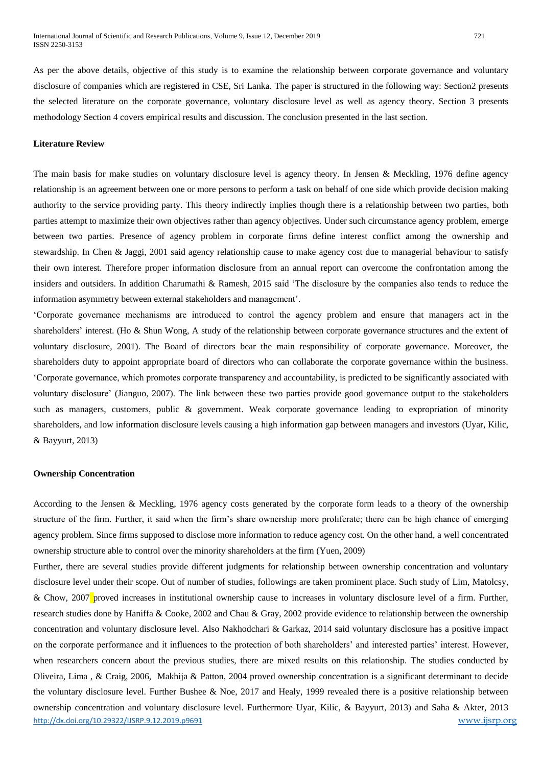As per the above details, objective of this study is to examine the relationship between corporate governance and voluntary disclosure of companies which are registered in CSE, Sri Lanka. The paper is structured in the following way: Section2 presents the selected literature on the corporate governance, voluntary disclosure level as well as agency theory. Section 3 presents methodology Section 4 covers empirical results and discussion. The conclusion presented in the last section.

# **Literature Review**

The main basis for make studies on voluntary disclosure level is agency theory. In Jensen & Meckling, 1976 define agency relationship is an agreement between one or more persons to perform a task on behalf of one side which provide decision making authority to the service providing party. This theory indirectly implies though there is a relationship between two parties, both parties attempt to maximize their own objectives rather than agency objectives. Under such circumstance agency problem, emerge between two parties. Presence of agency problem in corporate firms define interest conflict among the ownership and stewardship. In Chen & Jaggi, 2001 said agency relationship cause to make agency cost due to managerial behaviour to satisfy their own interest. Therefore proper information disclosure from an annual report can overcome the confrontation among the insiders and outsiders. In addition Charumathi & Ramesh, 2015 said 'The disclosure by the companies also tends to reduce the information asymmetry between external stakeholders and management'.

'Corporate governance mechanisms are introduced to control the agency problem and ensure that managers act in the shareholders' interest. (Ho & Shun Wong, A study of the relationship between corporate governance structures and the extent of voluntary disclosure, 2001). The Board of directors bear the main responsibility of corporate governance. Moreover, the shareholders duty to appoint appropriate board of directors who can collaborate the corporate governance within the business. 'Corporate governance, which promotes corporate transparency and accountability, is predicted to be significantly associated with voluntary disclosure' (Jianguo, 2007). The link between these two parties provide good governance output to the stakeholders such as managers, customers, public & government. Weak corporate governance leading to expropriation of minority shareholders, and low information disclosure levels causing a high information gap between managers and investors (Uyar, Kilic, & Bayyurt, 2013)

#### **Ownership Concentration**

According to the Jensen & Meckling, 1976 agency costs generated by the corporate form leads to a theory of the ownership structure of the firm. Further, it said when the firm's share ownership more proliferate; there can be high chance of emerging agency problem. Since firms supposed to disclose more information to reduce agency cost. On the other hand, a well concentrated ownership structure able to control over the minority shareholders at the firm (Yuen, 2009)

<http://dx.doi.org/10.29322/IJSRP.9.12.2019.p9691> [www.ijsrp.org](http://ijsrp.org/) Further, there are several studies provide different judgments for relationship between ownership concentration and voluntary disclosure level under their scope. Out of number of studies, followings are taken prominent place. Such study of Lim, Matolcsy, & Chow, 2007 proved increases in institutional ownership cause to increases in voluntary disclosure level of a firm. Further, research studies done by Haniffa & Cooke, 2002 and Chau & Gray, 2002 provide evidence to relationship between the ownership concentration and voluntary disclosure level. Also Nakhodchari & Garkaz, 2014 said voluntary disclosure has a positive impact on the corporate performance and it influences to the protection of both shareholders' and interested parties' interest. However, when researchers concern about the previous studies, there are mixed results on this relationship. The studies conducted by Oliveira, Lima , & Craig, 2006, Makhija & Patton, 2004 proved ownership concentration is a significant determinant to decide the voluntary disclosure level. Further Bushee & Noe, 2017 and Healy, 1999 revealed there is a positive relationship between ownership concentration and voluntary disclosure level. Furthermore Uyar, Kilic, & Bayyurt, 2013) and Saha & Akter, 2013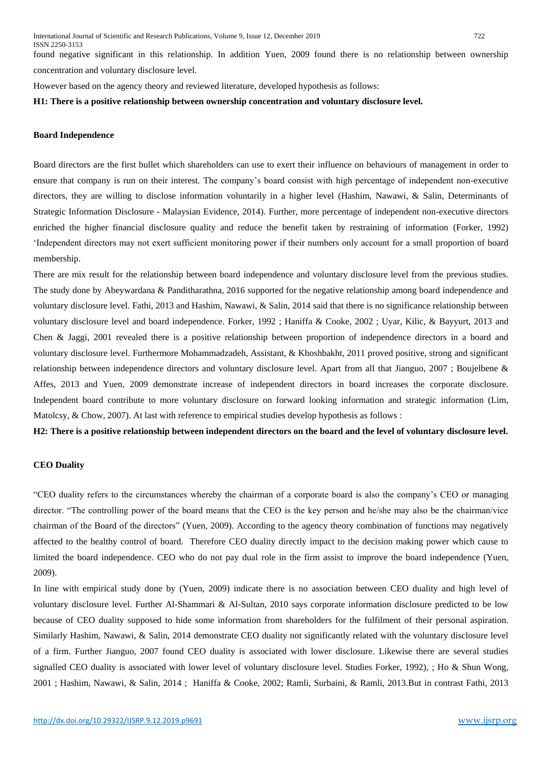found negative significant in this relationship. In addition Yuen, 2009 found there is no relationship between ownership concentration and voluntary disclosure level.

However based on the agency theory and reviewed literature, developed hypothesis as follows:

#### **H1: There is a positive relationship between ownership concentration and voluntary disclosure level.**

#### **Board Independence**

Board directors are the first bullet which shareholders can use to exert their influence on behaviours of management in order to ensure that company is run on their interest. The company's board consist with high percentage of independent non-executive directors, they are willing to disclose information voluntarily in a higher level (Hashim, Nawawi, & Salin, Determinants of Strategic Information Disclosure - Malaysian Evidence, 2014). Further, more percentage of independent non-executive directors enriched the higher financial disclosure quality and reduce the benefit taken by restraining of information (Forker, 1992) 'Independent directors may not exert sufficient monitoring power if their numbers only account for a small proportion of board membership.

There are mix result for the relationship between board independence and voluntary disclosure level from the previous studies. The study done by Abeywardana & Panditharathna, 2016 supported for the negative relationship among board independence and voluntary disclosure level. Fathi, 2013 and Hashim, Nawawi, & Salin, 2014 said that there is no significance relationship between voluntary disclosure level and board independence. Forker, 1992 ; Haniffa & Cooke, 2002 ; Uyar, Kilic, & Bayyurt, 2013 and Chen & Jaggi, 2001 revealed there is a positive relationship between proportion of independence directors in a board and voluntary disclosure level. Furthermore Mohammadzadeh, Assistant, & Khoshbakht, 2011 proved positive, strong and significant relationship between independence directors and voluntary disclosure level. Apart from all that Jianguo, 2007 ; Boujelbene & Affes, 2013 and Yuen, 2009 demonstrate increase of independent directors in board increases the corporate disclosure. Independent board contribute to more voluntary disclosure on forward looking information and strategic information (Lim, Matolcsy, & Chow, 2007). At last with reference to empirical studies develop hypothesis as follows :

**H2: There is a positive relationship between independent directors on the board and the level of voluntary disclosure level.**

### **CEO Duality**

"CEO duality refers to the circumstances whereby the chairman of a corporate board is also the company's CEO or managing director. "The controlling power of the board means that the CEO is the key person and he/she may also be the chairman/vice chairman of the Board of the directors" (Yuen, 2009). According to the agency theory combination of functions may negatively affected to the healthy control of board. Therefore CEO duality directly impact to the decision making power which cause to limited the board independence. CEO who do not pay dual role in the firm assist to improve the board independence (Yuen, 2009).

In line with empirical study done by (Yuen, 2009) indicate there is no association between CEO duality and high level of voluntary disclosure level. Further Al-Shammari & Al-Sultan, 2010 says corporate information disclosure predicted to be low because of CEO duality supposed to hide some information from shareholders for the fulfilment of their personal aspiration. Similarly Hashim, Nawawi, & Salin, 2014 demonstrate CEO duality not significantly related with the voluntary disclosure level of a firm. Further Jianguo, 2007 found CEO duality is associated with lower disclosure. Likewise there are several studies signalled CEO duality is associated with lower level of voluntary disclosure level. Studies Forker, 1992), ; Ho & Shun Wong, 2001 ; Hashim, Nawawi, & Salin, 2014 ; Haniffa & Cooke, 2002; Ramli, Surbaini, & Ramli, 2013.But in contrast Fathi, 2013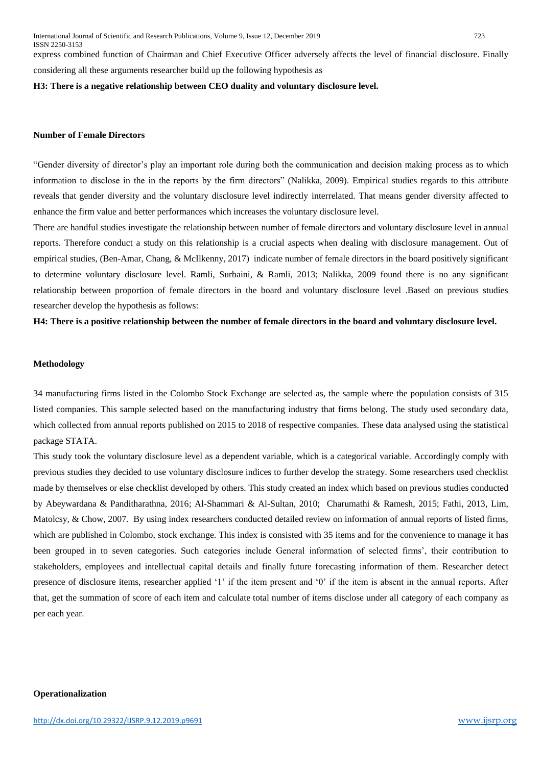express combined function of Chairman and Chief Executive Officer adversely affects the level of financial disclosure. Finally considering all these arguments researcher build up the following hypothesis as

#### **H3: There is a negative relationship between CEO duality and voluntary disclosure level.**

#### **Number of Female Directors**

"Gender diversity of director's play an important role during both the communication and decision making process as to which information to disclose in the in the reports by the firm directors" (Nalikka, 2009). Empirical studies regards to this attribute reveals that gender diversity and the voluntary disclosure level indirectly interrelated. That means gender diversity affected to enhance the firm value and better performances which increases the voluntary disclosure level.

There are handful studies investigate the relationship between number of female directors and voluntary disclosure level in annual reports. Therefore conduct a study on this relationship is a crucial aspects when dealing with disclosure management. Out of empirical studies, (Ben-Amar, Chang, & McIlkenny, 2017) indicate number of female directors in the board positively significant to determine voluntary disclosure level. Ramli, Surbaini, & Ramli, 2013; Nalikka, 2009 found there is no any significant relationship between proportion of female directors in the board and voluntary disclosure level .Based on previous studies researcher develop the hypothesis as follows:

**H4: There is a positive relationship between the number of female directors in the board and voluntary disclosure level.**

#### **Methodology**

34 manufacturing firms listed in the Colombo Stock Exchange are selected as, the sample where the population consists of 315 listed companies. This sample selected based on the manufacturing industry that firms belong. The study used secondary data, which collected from annual reports published on 2015 to 2018 of respective companies. These data analysed using the statistical package STATA.

This study took the voluntary disclosure level as a dependent variable, which is a categorical variable. Accordingly comply with previous studies they decided to use voluntary disclosure indices to further develop the strategy. Some researchers used checklist made by themselves or else checklist developed by others. This study created an index which based on previous studies conducted by Abeywardana & Panditharathna, 2016; Al-Shammari & Al-Sultan, 2010; Charumathi & Ramesh, 2015; Fathi, 2013, Lim, Matolcsy, & Chow, 2007. By using index researchers conducted detailed review on information of annual reports of listed firms, which are published in Colombo, stock exchange. This index is consisted with 35 items and for the convenience to manage it has been grouped in to seven categories. Such categories include General information of selected firms', their contribution to stakeholders, employees and intellectual capital details and finally future forecasting information of them. Researcher detect presence of disclosure items, researcher applied '1' if the item present and '0' if the item is absent in the annual reports. After that, get the summation of score of each item and calculate total number of items disclose under all category of each company as per each year.

#### **Operationalization**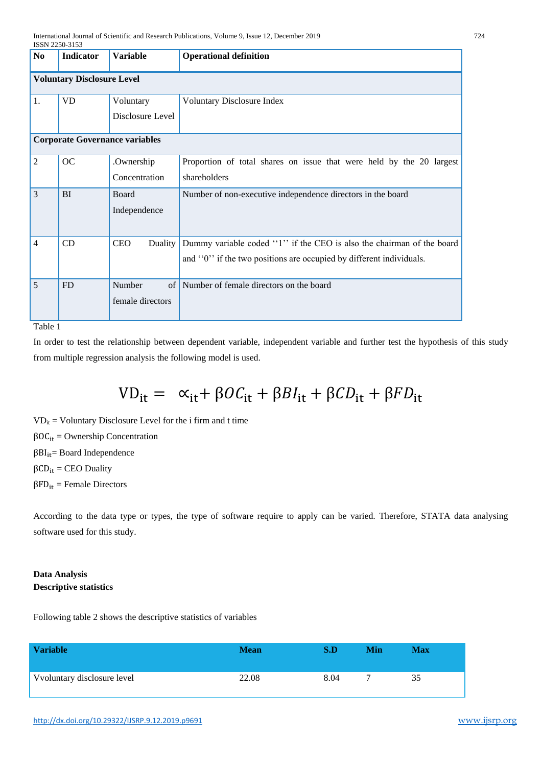|                | 15518 2230-3133                   |                                               |                                                                                                                                              |  |  |  |  |
|----------------|-----------------------------------|-----------------------------------------------|----------------------------------------------------------------------------------------------------------------------------------------------|--|--|--|--|
| N <sub>0</sub> | <b>Indicator</b>                  | <b>Variable</b>                               | <b>Operational definition</b>                                                                                                                |  |  |  |  |
|                | <b>Voluntary Disclosure Level</b> |                                               |                                                                                                                                              |  |  |  |  |
| 1.             | <b>VD</b>                         | Voluntary<br>Disclosure Level                 | Voluntary Disclosure Index                                                                                                                   |  |  |  |  |
|                |                                   | <b>Corporate Governance variables</b>         |                                                                                                                                              |  |  |  |  |
| 2              | <b>OC</b>                         | .Ownership<br>Concentration                   | Proportion of total shares on issue that were held by the 20 largest<br>shareholders                                                         |  |  |  |  |
| 3              | <b>BI</b>                         | Board<br>Independence                         | Number of non-executive independence directors in the board                                                                                  |  |  |  |  |
| $\overline{4}$ | CD                                | <b>CEO</b><br>Duality                         | Dummy variable coded "1" if the CEO is also the chairman of the board<br>and "0" if the two positions are occupied by different individuals. |  |  |  |  |
| 5              | <b>FD</b>                         | Number<br>of <sub>1</sub><br>female directors | Number of female directors on the board                                                                                                      |  |  |  |  |

# Table 1

In order to test the relationship between dependent variable, independent variable and further test the hypothesis of this study from multiple regression analysis the following model is used.

 $VD_{it} = \alpha_{it} + \beta O C_{it} + \beta B I_{it} + \beta C D_{it} + \beta F D_{it}$ 

 $VD_{it} = Voluntary Disclosure Level for the i firm and t time$  $βOC<sub>it</sub> = Ownership Concentration$  $βBI<sub>it</sub> = Board Independence$  $βCD_{it}$  = CEO Duality  $βFD<sub>it</sub>$  = Female Directors

According to the data type or types, the type of software require to apply can be varied. Therefore, STATA data analysing software used for this study.

# **Data Analysis Descriptive statistics**

Following table 2 shows the descriptive statistics of variables

| <b>Variable</b>             | <b>Mean</b> | S.D  | Min | <b>Max</b> |
|-----------------------------|-------------|------|-----|------------|
| Vvoluntary disclosure level | 22.08       | 8.04 |     | 35         |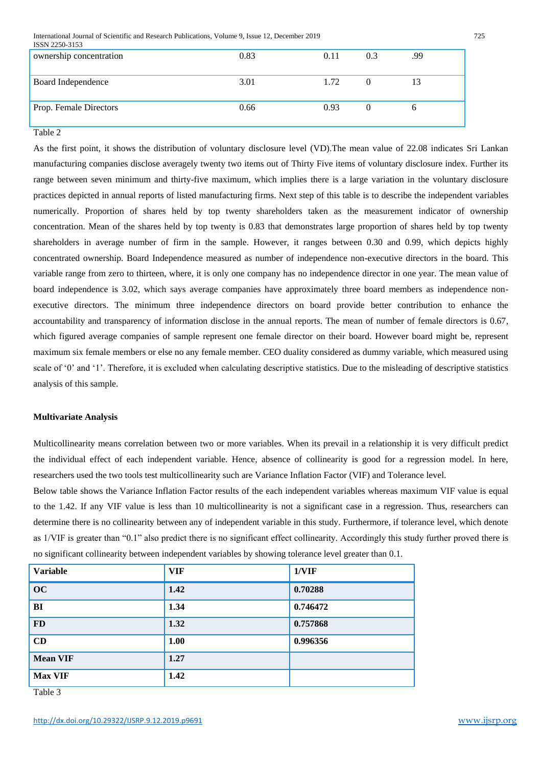International Journal of Scientific and Research Publications, Volume 9, Issue 12, December 2019 725

| ISSN 2250-3153          |      |      |     |     |
|-------------------------|------|------|-----|-----|
| ownership concentration | 0.83 | 0.11 | 0.3 | .99 |
| Board Independence      | 3.01 | 1.72 |     | 13  |
| Prop. Female Directors  | 0.66 | 0.93 |     | n   |

Table 2

As the first point, it shows the distribution of voluntary disclosure level (VD).The mean value of 22.08 indicates Sri Lankan manufacturing companies disclose averagely twenty two items out of Thirty Five items of voluntary disclosure index. Further its range between seven minimum and thirty-five maximum, which implies there is a large variation in the voluntary disclosure practices depicted in annual reports of listed manufacturing firms. Next step of this table is to describe the independent variables numerically. Proportion of shares held by top twenty shareholders taken as the measurement indicator of ownership concentration. Mean of the shares held by top twenty is 0.83 that demonstrates large proportion of shares held by top twenty shareholders in average number of firm in the sample. However, it ranges between 0.30 and 0.99, which depicts highly concentrated ownership. Board Independence measured as number of independence non-executive directors in the board. This variable range from zero to thirteen, where, it is only one company has no independence director in one year. The mean value of board independence is 3.02, which says average companies have approximately three board members as independence nonexecutive directors. The minimum three independence directors on board provide better contribution to enhance the accountability and transparency of information disclose in the annual reports. The mean of number of female directors is 0.67, which figured average companies of sample represent one female director on their board. However board might be, represent maximum six female members or else no any female member. CEO duality considered as dummy variable, which measured using scale of '0' and '1'. Therefore, it is excluded when calculating descriptive statistics. Due to the misleading of descriptive statistics analysis of this sample.

#### **Multivariate Analysis**

Multicollinearity means correlation between two or more variables. When its prevail in a relationship it is very difficult predict the individual effect of each independent variable. Hence, absence of collinearity is good for a regression model. In here, researchers used the two tools test multicollinearity such are Variance Inflation Factor (VIF) and Tolerance level.

Below table shows the Variance Inflation Factor results of the each independent variables whereas maximum VIF value is equal to the 1.42. If any VIF value is less than 10 multicollinearity is not a significant case in a regression. Thus, researchers can determine there is no collinearity between any of independent variable in this study. Furthermore, if tolerance level, which denote as 1/VIF is greater than "0.1" also predict there is no significant effect collinearity. Accordingly this study further proved there is no significant collinearity between independent variables by showing tolerance level greater than 0.1.

| <b>Variable</b> | <b>VIF</b> | 1/VIF    |
|-----------------|------------|----------|
| OC              | 1.42       | 0.70288  |
| BI              | 1.34       | 0.746472 |
| <b>FD</b>       | 1.32       | 0.757868 |
| CD              | 1.00       | 0.996356 |
| <b>Mean VIF</b> | 1.27       |          |
| <b>Max VIF</b>  | 1.42       |          |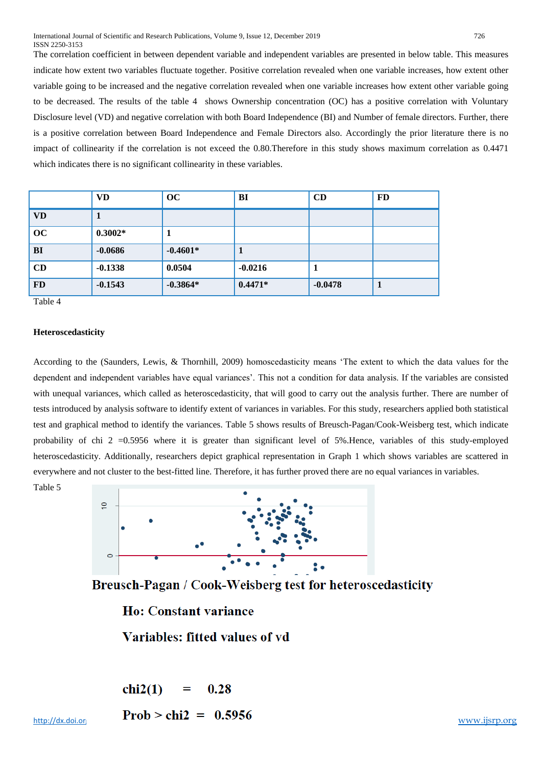The correlation coefficient in between dependent variable and independent variables are presented in below table. This measures indicate how extent two variables fluctuate together. Positive correlation revealed when one variable increases, how extent other variable going to be increased and the negative correlation revealed when one variable increases how extent other variable going to be decreased. The results of the table 4 shows Ownership concentration (OC) has a positive correlation with Voluntary Disclosure level (VD) and negative correlation with both Board Independence (BI) and Number of female directors. Further, there is a positive correlation between Board Independence and Female Directors also. Accordingly the prior literature there is no impact of collinearity if the correlation is not exceed the 0.80.Therefore in this study shows maximum correlation as 0.4471 which indicates there is no significant collinearity in these variables.

|           | <b>VD</b> | <b>OC</b>  | <b>BI</b> | CD        | <b>FD</b> |
|-----------|-----------|------------|-----------|-----------|-----------|
| <b>VD</b> |           |            |           |           |           |
| OC        | $0.3002*$ | п          |           |           |           |
| <b>BI</b> | $-0.0686$ | $-0.4601*$ | 1         |           |           |
| CD        | $-0.1338$ | 0.0504     | $-0.0216$ | л         |           |
| <b>FD</b> | $-0.1543$ | $-0.3864*$ | $0.4471*$ | $-0.0478$ | л         |

Table 4

#### **Heteroscedasticity**

According to the (Saunders, Lewis, & Thornhill, 2009) homoscedasticity means 'The extent to which the data values for the dependent and independent variables have equal variances'. This not a condition for data analysis. If the variables are consisted with unequal variances, which called as heteroscedasticity, that will good to carry out the analysis further. There are number of tests introduced by analysis software to identify extent of variances in variables. For this study, researchers applied both statistical test and graphical method to identify the variances. Table 5 shows results of Breusch-Pagan/Cook-Weisberg test, which indicate probability of chi 2 = 0.5956 where it is greater than significant level of 5%. Hence, variables of this study-employed heteroscedasticity. Additionally, researchers depict graphical representation in Graph 1 which shows variables are scattered in everywhere and not cluster to the best-fitted line. Therefore, it has further proved there are no equal variances in variables.

Table 5



Breusch-Pagan / Cook-Weisberg test for heteroscedasticity

**Ho: Constant variance** 

Variables: fitted values of vd

$$
chi2(1) = 0.28
$$
  
Prob > chi2 = 0.5956

http://dx.doi.org/1100  $\angle$  CM2 = 0.3930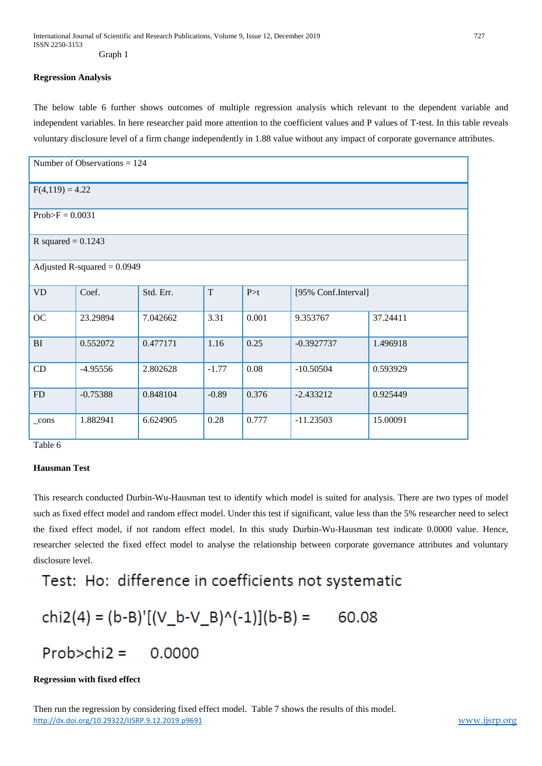## **Regression Analysis**

The below table 6 further shows outcomes of multiple regression analysis which relevant to the dependent variable and independent variables. In here researcher paid more attention to the coefficient values and P values of T-test. In this table reveals voluntary disclosure level of a firm change independently in 1.88 value without any impact of corporate governance attributes.

| Number of Observations $= 124$ |                      |           |         |       |                     |          |  |  |  |
|--------------------------------|----------------------|-----------|---------|-------|---------------------|----------|--|--|--|
| $F(4,119) = 4.22$              |                      |           |         |       |                     |          |  |  |  |
| $Prob>F = 0.0031$              |                      |           |         |       |                     |          |  |  |  |
|                                | R squared = $0.1243$ |           |         |       |                     |          |  |  |  |
| Adjusted R-squared $= 0.0949$  |                      |           |         |       |                     |          |  |  |  |
| <b>VD</b>                      | Coef.                | Std. Err. | T       | P > t | [95% Conf.Interval] |          |  |  |  |
| OC                             | 23.29894             | 7.042662  | 3.31    | 0.001 | 9.353767            | 37.24411 |  |  |  |
| BI                             | 0.552072             | 0.477171  | 1.16    | 0.25  | $-0.3927737$        | 1.496918 |  |  |  |
| CD                             | $-4.95556$           | 2.802628  | $-1.77$ | 0.08  | $-10.50504$         | 0.593929 |  |  |  |
| FD                             | $-0.75388$           | 0.848104  | $-0.89$ | 0.376 | $-2.433212$         | 0.925449 |  |  |  |
| cons                           | 1.882941             | 6.624905  | 0.28    | 0.777 | $-11.23503$         | 15.00091 |  |  |  |

Table 6

# **Hausman Test**

This research conducted Durbin-Wu-Hausman test to identify which model is suited for analysis. There are two types of model such as fixed effect model and random effect model. Under this test if significant, value less than the 5% researcher need to select the fixed effect model, if not random effect model. In this study Durbin-Wu-Hausman test indicate 0.0000 value. Hence, researcher selected the fixed effect model to analyse the relationship between corporate governance attributes and voluntary disclosure level.

# Test: Ho: difference in coefficients not systematic

$$
chi2(4) = (b-B)'[(V_b-V_B)^(-1)](b-B) = 60.08
$$

# $Prob > chi2 = 0.0000$

# **Regression with fixed effect**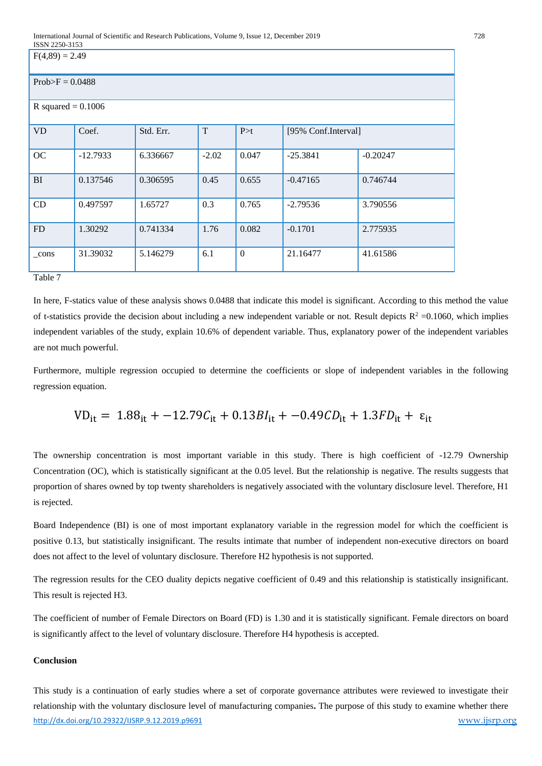| <b>10011 2200-0100</b><br>$F(4,89) = 2.49$ |            |           |         |              |                     |            |  |  |
|--------------------------------------------|------------|-----------|---------|--------------|---------------------|------------|--|--|
| $Prob>F = 0.0488$                          |            |           |         |              |                     |            |  |  |
| R squared = $0.1006$                       |            |           |         |              |                     |            |  |  |
| <b>VD</b>                                  | Coef.      | Std. Err. | T       | P > t        | [95% Conf.Interval] |            |  |  |
| OC                                         | $-12.7933$ | 6.336667  | $-2.02$ | 0.047        | $-25.3841$          | $-0.20247$ |  |  |
| BI                                         | 0.137546   | 0.306595  | 0.45    | 0.655        | $-0.47165$          | 0.746744   |  |  |
| CD                                         | 0.497597   | 1.65727   | 0.3     | 0.765        | $-2.79536$          | 3.790556   |  |  |
| FD                                         | 1.30292    | 0.741334  | 1.76    | 0.082        | $-0.1701$           | 2.775935   |  |  |
| $_{cons}$<br>$T-1.1.7$                     | 31.39032   | 5.146279  | 6.1     | $\mathbf{0}$ | 21.16477            | 41.61586   |  |  |

Table 7

In here, F-statics value of these analysis shows 0.0488 that indicate this model is significant. According to this method the value of t-statistics provide the decision about including a new independent variable or not. Result depicts  $R^2 = 0.1060$ , which implies independent variables of the study, explain 10.6% of dependent variable. Thus, explanatory power of the independent variables are not much powerful.

Furthermore, multiple regression occupied to determine the coefficients or slope of independent variables in the following regression equation.

$$
VD_{it}
$$
 = 1.88<sub>it</sub> + -12.79C<sub>it</sub> + 0.13B $I_{it}$  + -0.49CD<sub>it</sub> + 1.3FD<sub>it</sub> +  $\varepsilon_{it}$ 

The ownership concentration is most important variable in this study. There is high coefficient of -12.79 Ownership Concentration (OC), which is statistically significant at the 0.05 level. But the relationship is negative. The results suggests that proportion of shares owned by top twenty shareholders is negatively associated with the voluntary disclosure level. Therefore, H1 is rejected.

Board Independence (BI) is one of most important explanatory variable in the regression model for which the coefficient is positive 0.13, but statistically insignificant. The results intimate that number of independent non-executive directors on board does not affect to the level of voluntary disclosure. Therefore H2 hypothesis is not supported.

The regression results for the CEO duality depicts negative coefficient of 0.49 and this relationship is statistically insignificant. This result is rejected H3.

The coefficient of number of Female Directors on Board (FD) is 1.30 and it is statistically significant. Female directors on board is significantly affect to the level of voluntary disclosure. Therefore H4 hypothesis is accepted.

# **Conclusion**

<http://dx.doi.org/10.29322/IJSRP.9.12.2019.p9691> [www.ijsrp.org](http://ijsrp.org/) This study is a continuation of early studies where a set of corporate governance attributes were reviewed to investigate their relationship with the voluntary disclosure level of manufacturing companies**.** The purpose of this study to examine whether there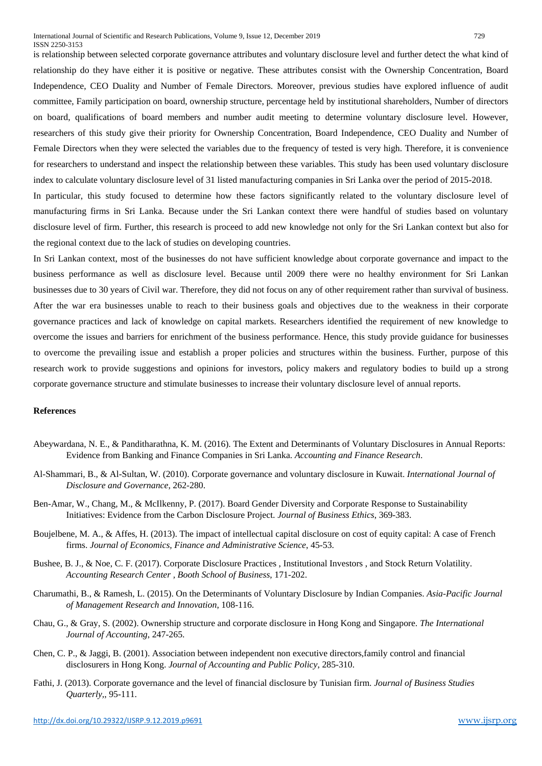is relationship between selected corporate governance attributes and voluntary disclosure level and further detect the what kind of relationship do they have either it is positive or negative. These attributes consist with the Ownership Concentration, Board Independence, CEO Duality and Number of Female Directors. Moreover, previous studies have explored influence of audit committee, Family participation on board, ownership structure, percentage held by institutional shareholders, Number of directors on board, qualifications of board members and number audit meeting to determine voluntary disclosure level. However, researchers of this study give their priority for Ownership Concentration, Board Independence, CEO Duality and Number of Female Directors when they were selected the variables due to the frequency of tested is very high. Therefore, it is convenience

for researchers to understand and inspect the relationship between these variables. This study has been used voluntary disclosure index to calculate voluntary disclosure level of 31 listed manufacturing companies in Sri Lanka over the period of 2015-2018.

In particular, this study focused to determine how these factors significantly related to the voluntary disclosure level of manufacturing firms in Sri Lanka. Because under the Sri Lankan context there were handful of studies based on voluntary disclosure level of firm. Further, this research is proceed to add new knowledge not only for the Sri Lankan context but also for the regional context due to the lack of studies on developing countries.

In Sri Lankan context, most of the businesses do not have sufficient knowledge about corporate governance and impact to the business performance as well as disclosure level. Because until 2009 there were no healthy environment for Sri Lankan businesses due to 30 years of Civil war. Therefore, they did not focus on any of other requirement rather than survival of business. After the war era businesses unable to reach to their business goals and objectives due to the weakness in their corporate governance practices and lack of knowledge on capital markets. Researchers identified the requirement of new knowledge to overcome the issues and barriers for enrichment of the business performance. Hence, this study provide guidance for businesses to overcome the prevailing issue and establish a proper policies and structures within the business. Further, purpose of this research work to provide suggestions and opinions for investors, policy makers and regulatory bodies to build up a strong corporate governance structure and stimulate businesses to increase their voluntary disclosure level of annual reports.

#### **References**

- Abeywardana, N. E., & Panditharathna, K. M. (2016). The Extent and Determinants of Voluntary Disclosures in Annual Reports: Evidence from Banking and Finance Companies in Sri Lanka. *Accounting and Finance Research*.
- Al-Shammari, B., & Al-Sultan, W. (2010). Corporate governance and voluntary disclosure in Kuwait. *International Journal of Disclosure and Governance*, 262-280.
- Ben-Amar, W., Chang, M., & McIlkenny, P. (2017). Board Gender Diversity and Corporate Response to Sustainability Initiatives: Evidence from the Carbon Disclosure Project. *Journal of Business Ethics*, 369-383.
- Boujelbene, M. A., & Affes, H. (2013). The impact of intellectual capital disclosure on cost of equity capital: A case of French firms. *Journal of Economics, Finance and Administrative Science*, 45-53.
- Bushee, B. J., & Noe, C. F. (2017). Corporate Disclosure Practices , Institutional Investors , and Stock Return Volatility. *Accounting Research Center , Booth School of Business*, 171-202.
- Charumathi, B., & Ramesh, L. (2015). On the Determinants of Voluntary Disclosure by Indian Companies. *Asia-Pacific Journal of Management Research and Innovation*, 108-116.
- Chau, G., & Gray, S. (2002). Ownership structure and corporate disclosure in Hong Kong and Singapore. *The International Journal of Accounting*, 247-265.
- Chen, C. P., & Jaggi, B. (2001). Association between independent non executive directors,family control and financial disclosurers in Hong Kong. *Journal of Accounting and Public Policy*, 285-310.
- Fathi, J. (2013). Corporate governance and the level of financial disclosure by Tunisian firm. *Journal of Business Studies Quarterly,*, 95-111.